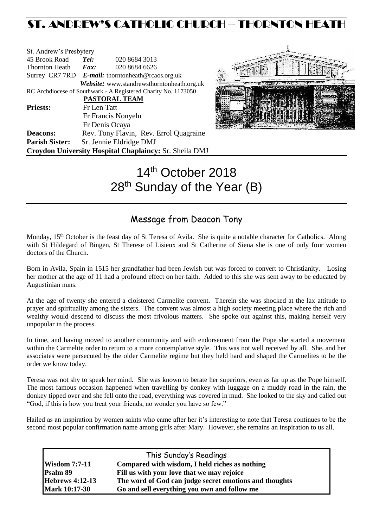## ST. ANDREW'S CATHOLIC CHURCH – THORNTON HEAT

| St. Andrew's Presbytery |                                                   |                                                                |  |  |
|-------------------------|---------------------------------------------------|----------------------------------------------------------------|--|--|
| 45 Brook Road           | Tel:                                              | 020 8684 3013                                                  |  |  |
| <b>Thornton Heath</b>   | Fax:                                              | 020 8684 6626                                                  |  |  |
|                         | Surrey CR7 7RD E-mail: thorntonheath@rcaos.org.uk |                                                                |  |  |
|                         |                                                   | Website: www.standrewsthorntonheath.org.uk                     |  |  |
|                         |                                                   | RC Archdiocese of Southwark - A Registered Charity No. 1173050 |  |  |
|                         |                                                   | PASTORAL TEAM                                                  |  |  |
| <b>Priests:</b>         | Fr Len Tatt                                       |                                                                |  |  |
|                         |                                                   | Fr Francis Nonyelu                                             |  |  |
|                         |                                                   | Fr Denis Ocaya                                                 |  |  |
| <b>Deacons:</b>         |                                                   | Rev. Tony Flavin, Rev. Errol Quagraine                         |  |  |
| <b>Parish Sister:</b>   |                                                   | Sr. Jennie Eldridge DMJ                                        |  |  |
|                         |                                                   | Croydon University Hospital Chaplaincy: Sr. Sheila DMJ         |  |  |



# 14<sup>th</sup> October 2018 28<sup>th</sup> Sunday of the Year (B)

## Message from Deacon Tony

Monday, 15<sup>th</sup> October is the feast day of St Teresa of Avila. She is quite a notable character for Catholics. Along with St Hildegard of Bingen, St Therese of Lisieux and St Catherine of Siena she is one of only four women doctors of the Church.

Born in Avila, Spain in 1515 her grandfather had been Jewish but was forced to convert to Christianity. Losing her mother at the age of 11 had a profound effect on her faith. Added to this she was sent away to be educated by Augustinian nuns.

At the age of twenty she entered a cloistered Carmelite convent. Therein she was shocked at the lax attitude to prayer and spirituality among the sisters. The convent was almost a high society meeting place where the rich and wealthy would descend to discuss the most frivolous matters. She spoke out against this, making herself very unpopular in the process.

In time, and having moved to another community and with endorsement from the Pope she started a movement within the Carmelite order to return to a more contemplative style. This was not well received by all. She, and her associates were persecuted by the older Carmelite regime but they held hard and shaped the Carmelites to be the order we know today.

Teresa was not shy to speak her mind. She was known to berate her superiors, even as far up as the Pope himself. The most famous occasion happened when travelling by donkey with luggage on a muddy road in the rain, the donkey tipped over and she fell onto the road, everything was covered in mud. She looked to the sky and called out "God, if this is how you treat your friends, no wonder you have so few."

Hailed as an inspiration by women saints who came after her it's interesting to note that Teresa continues to be the second most popular confirmation name among girls after Mary. However, she remains an inspiration to us all.

| This Sunday's Readings |                                                        |  |  |  |
|------------------------|--------------------------------------------------------|--|--|--|
| <b>Wisdom 7:7-11</b>   | Compared with wisdom, I held riches as nothing         |  |  |  |
| Psalm 89               | Fill us with your love that we may rejoice             |  |  |  |
| <b>Hebrews 4:12-13</b> | The word of God can judge secret emotions and thoughts |  |  |  |
| <b>Mark 10:17-30</b>   | Go and sell everything you own and follow me           |  |  |  |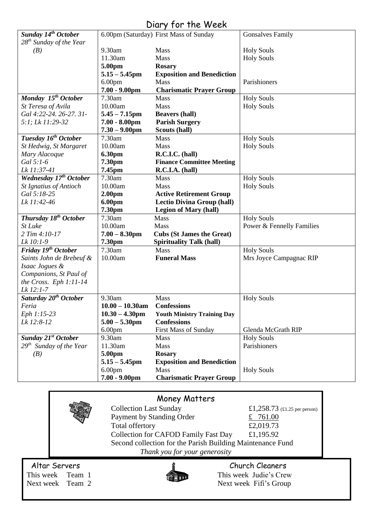## Diary for the Week

| Sunday 14 <sup>th</sup> October   |                    | 6.00pm (Saturday) First Mass of Sunday | <b>Gonsalves Family</b>   |
|-----------------------------------|--------------------|----------------------------------------|---------------------------|
| $28^{th}$ Sunday of the Year      |                    |                                        |                           |
| (B)                               | 9.30am             | Mass                                   | <b>Holy Souls</b>         |
|                                   | 11.30am            | Mass                                   | <b>Holy Souls</b>         |
|                                   | 5.00pm             | <b>Rosary</b>                          |                           |
|                                   | $5.15 - 5.45$ pm   | <b>Exposition and Benediction</b>      |                           |
|                                   | 6.00 <sub>pm</sub> | Mass                                   | Parishioners              |
|                                   | $7.00 - 9.00$ pm   | <b>Charismatic Prayer Group</b>        |                           |
| Monday 15 <sup>th</sup> October   | 7.30am             | <b>Mass</b>                            | <b>Holy Souls</b>         |
| St Teresa of Avila                | 10.00am            | Mass                                   | <b>Holy Souls</b>         |
| Gal 4:22-24. 26-27. 31-           | $5.45 - 7.15$ pm   | <b>Beavers (hall)</b>                  |                           |
| 5:1; Lk 11:29-32                  | $7.00 - 8.00$ pm   | <b>Parish Surgery</b>                  |                           |
|                                   | $7.30 - 9.00$ pm   | Scouts (hall)                          |                           |
|                                   |                    |                                        |                           |
| Tuesday 16 <sup>th</sup> October  | 7.30am             | Mass                                   | <b>Holy Souls</b>         |
| St Hedwig, St Margaret            | 10.00am            | <b>Mass</b>                            | <b>Holy Souls</b>         |
| Mary Alacoque                     | <b>6.30pm</b>      | R.C.I.C. (hall)                        |                           |
| Gal 5:1-6                         | 7.30pm             | <b>Finance Committee Meeting</b>       |                           |
| Lk 11:37-41                       | 7.45pm             | R.C.I.A. (hall)                        |                           |
| Wednesday 17th October            | 7.30am             | <b>Mass</b>                            | <b>Holy Souls</b>         |
| <b>St Ignatius of Antioch</b>     | 10.00am            | Mass                                   | <b>Holy Souls</b>         |
| Gal 5:18-25                       | 2.00 <sub>pm</sub> | <b>Active Retirement Group</b>         |                           |
| Lk 11:42-46                       | 6.00pm             | <b>Lectio Divina Group (hall)</b>      |                           |
|                                   | 7.30pm             | <b>Legion of Mary (hall)</b>           |                           |
| Thursday 18 <sup>th</sup> October | 7.30am             | Mass                                   | <b>Holy Souls</b>         |
| St Luke                           | 10.00am            | Mass                                   | Power & Fennelly Families |
| 2 Tim 4:10-17                     | $7.00 - 8.30$ pm   | <b>Cubs (St James the Great)</b>       |                           |
| Lk 10:1-9                         | 7.30pm             | <b>Spirituality Talk (hall)</b>        |                           |
| Friday 19 <sup>th</sup> October   | 7.30am             | Mass                                   | <b>Holy Souls</b>         |
| Saints John de Brebeuf &          | 10.00am            | <b>Funeral Mass</b>                    | Mrs Joyce Campagnac RIP   |
| Isaac Jogues &                    |                    |                                        |                           |
| Companions, St Paul of            |                    |                                        |                           |
| the Cross. Eph $1:11-14$          |                    |                                        |                           |
| Lk 12:1-7                         |                    |                                        |                           |
| Saturday 20 <sup>th</sup> October | 9.30am             | <b>Mass</b>                            | <b>Holy Souls</b>         |
| Feria                             | $10.00 - 10.30$ am | <b>Confessions</b>                     |                           |
| Eph 1:15-23                       | $10.30 - 4.30$ pm  | <b>Youth Ministry Training Day</b>     |                           |
| Lk 12:8-12                        | $5.00 - 5.30$ pm   | <b>Confessions</b>                     |                           |
|                                   | 6.00 <sub>pm</sub> | First Mass of Sunday                   | Glenda McGrath RIP        |
| Sunday 21 <sup>st</sup> October   | 9.30am             | Mass                                   | <b>Holy Souls</b>         |
| $29th$ Sunday of the Year         | 11.30am            | <b>Mass</b>                            | Parishioners              |
| (B)                               | 5.00pm             | <b>Rosary</b>                          |                           |
|                                   | $5.15 - 5.45$ pm   | <b>Exposition and Benediction</b>      |                           |
|                                   | 6.00 <sub>pm</sub> | Mass                                   | <b>Holy Souls</b>         |
|                                   | $7.00 - 9.00$ pm   | <b>Charismatic Prayer Group</b>        |                           |
|                                   |                    |                                        |                           |

|                                                       | <b>Money Matters</b>                                                                                                                                                                                                        |                                                                                                   |
|-------------------------------------------------------|-----------------------------------------------------------------------------------------------------------------------------------------------------------------------------------------------------------------------------|---------------------------------------------------------------------------------------------------|
|                                                       | <b>Collection Last Sunday</b><br>Payment by Standing Order<br>Total offertory<br><b>Collection for CAFOD Family Fast Day</b><br>Second collection for the Parish Building Maintenance Fund<br>Thank you for your generosity | £1,258.73 $(\text{\textsterling}1.25 \text{ per person})$<br>£ $761.00$<br>£2,019.73<br>£1,195.92 |
| Altar Servers<br>This week Team 1<br>Next week Team 2 |                                                                                                                                                                                                                             | Church Cleaners<br>This week Judie's Crew<br>Next week Fifi's Group                               |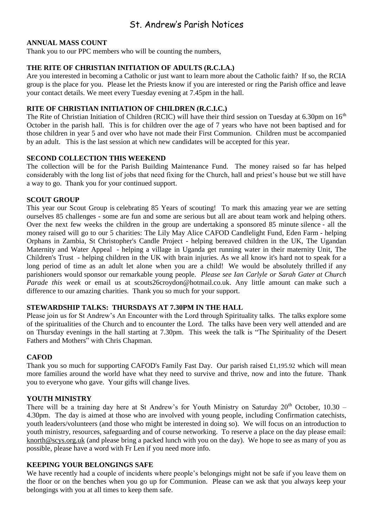### St. Andrew's Parish Notices

#### **ANNUAL MASS COUNT**

Thank you to our PPC members who will be counting the numbers,

#### **THE RITE OF CHRISTIAN INITIATION OF ADULTS (R.C.I.A.)**

Are you interested in becoming a Catholic or just want to learn more about the Catholic faith? If so, the RCIA group is the place for you. Please let the Priests know if you are interested or ring the Parish office and leave your contact details. We meet every Tuesday evening at 7.45pm in the hall.

#### **RITE OF CHRISTIAN INITIATION OF CHILDREN (R.C.I.C.)**

The Rite of Christian Initiation of Children (RCIC) will have their third session on Tuesday at 6.30pm on 16<sup>th</sup> October in the parish hall. This is for children over the age of 7 years who have not been baptised and for those children in year 5 and over who have not made their First Communion. Children must be accompanied by an adult. This is the last session at which new candidates will be accepted for this year.

#### **SECOND COLLECTION THIS WEEKEND**

The collection will be for the Parish Building Maintenance Fund. The money raised so far has helped considerably with the long list of jobs that need fixing for the Church, hall and priest's house but we still have a way to go. Thank you for your continued support.

#### **SCOUT GROUP**

This year our Scout Group is celebrating 85 Years of scouting! To mark this amazing year we are setting ourselves 85 challenges - some are fun and some are serious but all are about team work and helping others. Over the next few weeks the children in the group are undertaking a sponsored 85 minute silence - all the money raised will go to our 5 charities: The Lily May Alice CAFOD Candlelight Fund, Eden Farm - helping Orphans in Zambia, St Christopher's Candle Project - helping bereaved children in the UK, The Ugandan Maternity and Water Appeal - helping a village in Uganda get running water in their maternity Unit, The Children's Trust - helping children in the UK with brain injuries. As we all know it's hard not to speak for a long period of time as an adult let alone when you are a child! We would be absolutely thrilled if any parishioners would sponsor our remarkable young people. *Please see Ian Carlyle or Sarah Gater at Church Parade this week* or email us at [scouts26croydon@hotmail.co.uk.](mailto:scouts26croydon@hotmail.co.uk) Any little amount can make such a difference to our amazing charities. Thank you so much for your support.

#### **STEWARDSHIP TALKS: THURSDAYS AT 7.30PM IN THE HALL**

Please join us for St Andrew's An Encounter with the Lord through Spirituality talks. The talks explore some of the spiritualities of the Church and to encounter the Lord. The talks have been very well attended and are on Thursday evenings in the hall starting at 7.30pm. This week the talk is "The Spirituality of the Desert Fathers and Mothers" with Chris Chapman.

#### **CAFOD**

Thank you so much for supporting CAFOD's Family Fast Day. Our parish raised £1,195.92 which will mean more families around the world have what they need to survive and thrive, now and into the future. Thank you to everyone who gave. Your gifts will change lives.

#### **YOUTH MINISTRY**

There will be a training day here at St Andrew's for Youth Ministry on Saturday  $20<sup>th</sup>$  October, 10.30 – 4.30pm. The day is aimed at those who are involved with young people, including Confirmation catechists, youth leaders/volunteers (and those who might be interested in doing so). We will focus on an introduction to youth ministry, resources, safeguarding and of course networking. To reserve a place on the day please email: [knorth@scys.org.uk](mailto:knorth@scys.org.uk) (and please bring a packed lunch with you on the day). We hope to see as many of you as possible, please have a word with Fr Len if you need more info.

#### **KEEPING YOUR BELONGINGS SAFE**

We have recently had a couple of incidents where people's belongings might not be safe if you leave them on the floor or on the benches when you go up for Communion. Please can we ask that you always keep your belongings with you at all times to keep them safe.